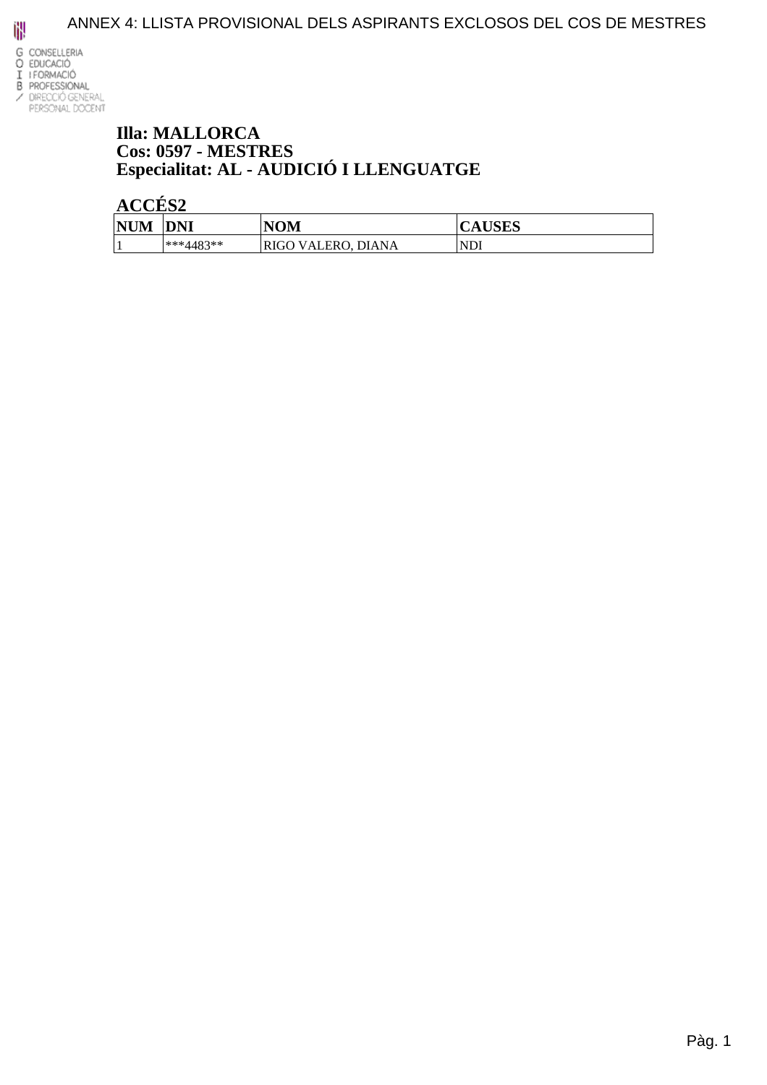

#### **Illa: MALLORCA Cos: 0597 - MESTRES** Especialitat: AL - AUDICIÓ I LLENGUATGE

| <b>NUM</b>               | <b>DNI</b>  | NOM                                    | IIAIN<br>AUDLD |
|--------------------------|-------------|----------------------------------------|----------------|
| $\overline{\phantom{a}}$ | $***4483**$ | <b>DIANA</b><br>VALERO.<br><b>RIGO</b> | 'NDl           |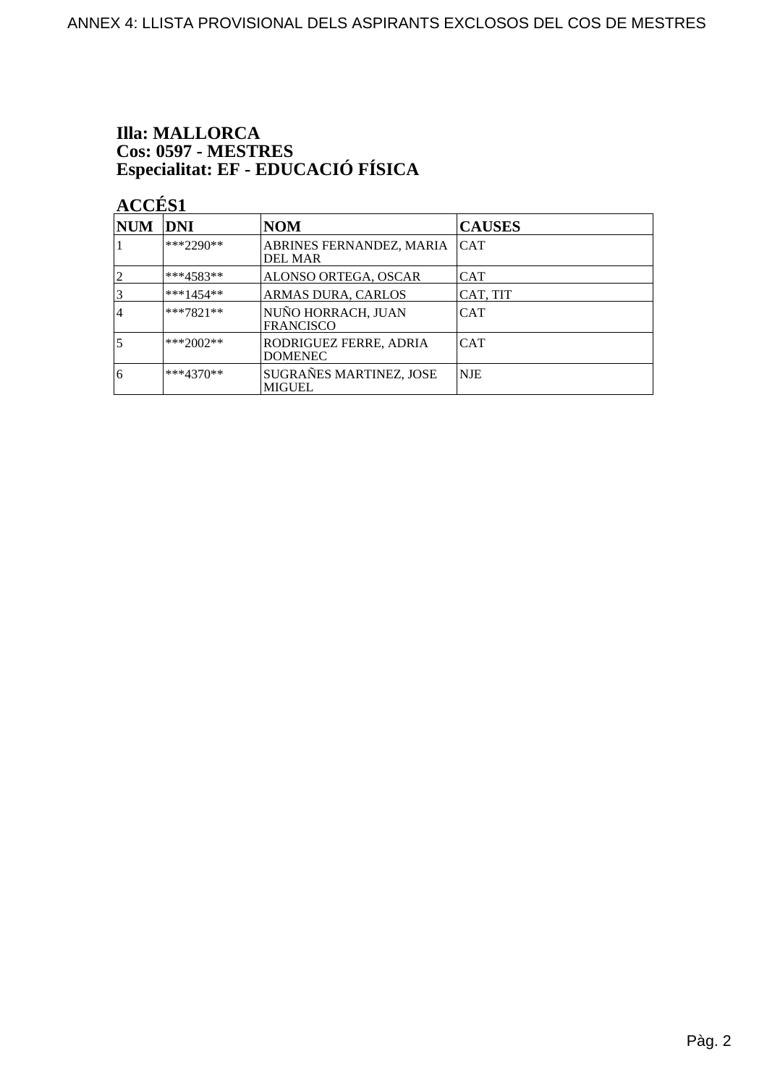# **Illa: MALLORCA** Cos: 0597 - MESTRES<br>Especialitat: EF - EDUCACIÓ FÍSICA

| NUM DNI        |             | <b>NOM</b>                                 | <b>CAUSES</b> |
|----------------|-------------|--------------------------------------------|---------------|
|                | $***2290**$ | ABRINES FERNANDEZ, MARIA<br><b>DEL MAR</b> | <b>CAT</b>    |
|                | $***4583**$ | ALONSO ORTEGA, OSCAR                       | <b>CAT</b>    |
| 3              | $***1454**$ | ARMAS DURA, CARLOS                         | CAT, TIT      |
| $\overline{4}$ | $***7821**$ | NUÑO HORRACH, JUAN<br><b>FRANCISCO</b>     | <b>CAT</b>    |
| 5              | ***2002**   | RODRIGUEZ FERRE, ADRIA<br><b>DOMENEC</b>   | <b>CAT</b>    |
| 6              | $***4370**$ | SUGRAÑES MARTINEZ, JOSE<br><b>MIGUEL</b>   | <b>NJE</b>    |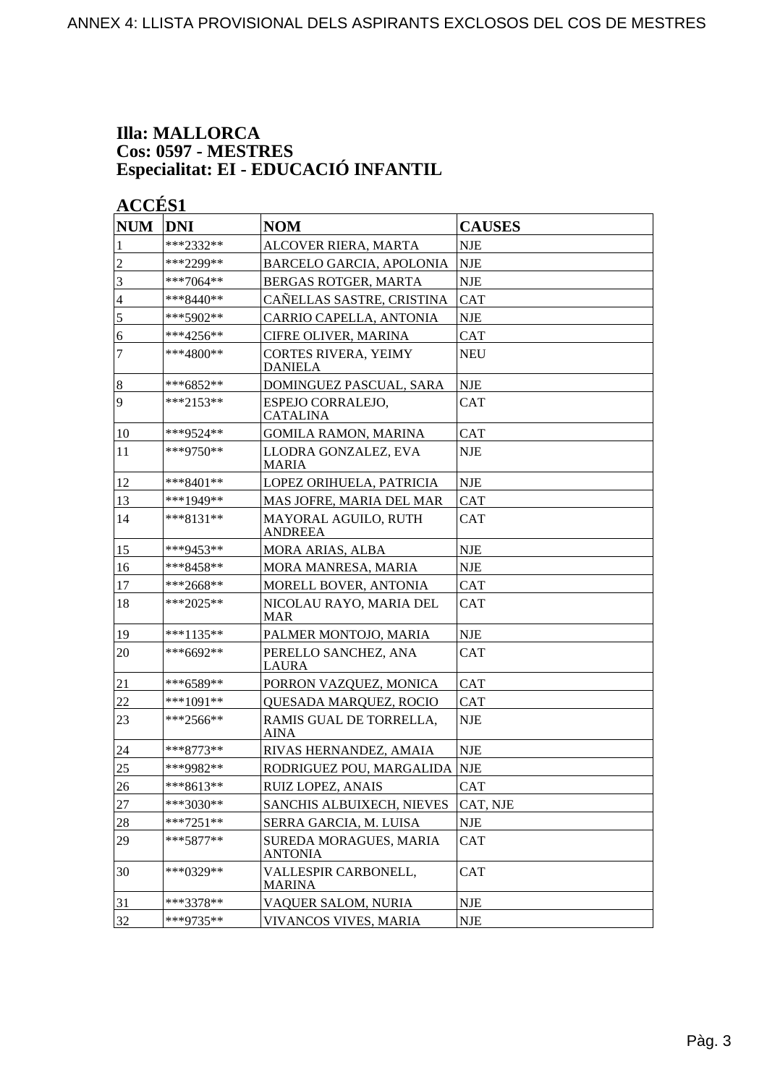#### **Illa: MALLORCA Cos: 0597 - MESTRES Especialitat: EI - EDUCACIÓ INFANTIL**

#### ACCÉS<sub>1</sub>

| <b>NUM</b>     | <b>DNI</b>  | <b>NOM</b>                                    | <b>CAUSES</b> |
|----------------|-------------|-----------------------------------------------|---------------|
| 1              | ***2332**   | ALCOVER RIERA, MARTA                          | <b>NJE</b>    |
| $\overline{c}$ | ***2299**   | <b>BARCELO GARCIA, APOLONIA</b>               | <b>NJE</b>    |
| 3              | $***7064**$ | BERGAS ROTGER, MARTA                          | <b>NJE</b>    |
| 4              | $***8440**$ | CAÑELLAS SASTRE, CRISTINA                     | <b>CAT</b>    |
| 5              | ***5902**   | CARRIO CAPELLA, ANTONIA                       | <b>NJE</b>    |
| 6              | ***4256**   | CIFRE OLIVER, MARINA                          | <b>CAT</b>    |
| $\tau$         | ***4800**   | <b>CORTES RIVERA, YEIMY</b><br><b>DANIELA</b> | <b>NEU</b>    |
| $\sqrt{8}$     | $***6852**$ | DOMINGUEZ PASCUAL, SARA                       | <b>NJE</b>    |
| $\overline{9}$ | $***2153**$ | ESPEJO CORRALEJO,<br><b>CATALINA</b>          | <b>CAT</b>    |
| 10             | ***9524**   | <b>GOMILA RAMON, MARINA</b>                   | <b>CAT</b>    |
| 11             | $***9750**$ | LLODRA GONZALEZ, EVA<br><b>MARIA</b>          | <b>NJE</b>    |
| 12             | $***8401**$ | LOPEZ ORIHUELA, PATRICIA                      | <b>NJE</b>    |
| 13             | ***1949**   | MAS JOFRE, MARIA DEL MAR                      | <b>CAT</b>    |
| 14             | $***8131**$ | MAYORAL AGUILO, RUTH<br>ANDREEA               | <b>CAT</b>    |
| 15             | ***9453**   | MORA ARIAS, ALBA                              | <b>NJE</b>    |
| 16             | ***8458**   | MORA MANRESA, MARIA                           | <b>NJE</b>    |
| 17             | ***2668**   | MORELL BOVER, ANTONIA                         | <b>CAT</b>    |
| 18             | ***2025**   | NICOLAU RAYO, MARIA DEL<br><b>MAR</b>         | <b>CAT</b>    |
| 19             | ***1135**   | PALMER MONTOJO, MARIA                         | <b>NJE</b>    |
| 20             | ***6692**   | PERELLO SANCHEZ, ANA<br><b>LAURA</b>          | <b>CAT</b>    |
| 21             | ***6589**   | PORRON VAZQUEZ, MONICA                        | <b>CAT</b>    |
| 22             | ***1091**   | QUESADA MARQUEZ, ROCIO                        | <b>CAT</b>    |
| 23             | $***2566**$ | RAMIS GUAL DE TORRELLA,<br>AINA               | <b>NJE</b>    |
| 24             | ***8773**   | RIVAS HERNANDEZ, AMAIA                        | <b>NJE</b>    |
| 25             | ***9982**   | RODRIGUEZ POU, MARGALIDA                      | <b>NJE</b>    |
| 26             | $***8613**$ | RUIZ LOPEZ, ANAIS                             | <b>CAT</b>    |
| 27             | ***3030**   | SANCHIS ALBUIXECH, NIEVES                     | CAT, NJE      |
| $28\,$         | $***7251**$ | SERRA GARCIA, M. LUISA                        | <b>NJE</b>    |
| 29             | $***5877**$ | SUREDA MORAGUES, MARIA<br><b>ANTONIA</b>      | <b>CAT</b>    |
| 30             | $***0329**$ | VALLESPIR CARBONELL,<br><b>MARINA</b>         | <b>CAT</b>    |
| 31             | ***3378**   | VAQUER SALOM, NURIA                           | NJE           |
| 32             | ***9735**   | VIVANCOS VIVES, MARIA                         | <b>NJE</b>    |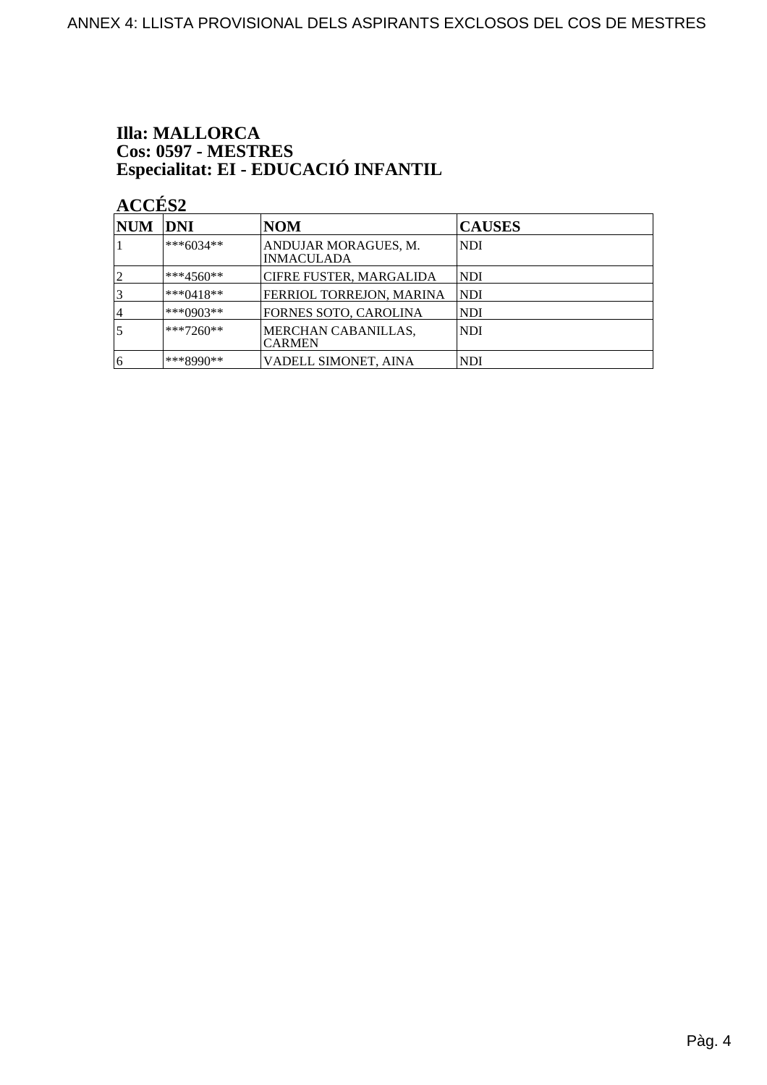# **Illa: MALLORCA** Cos: 0597 - MESTRES<br>Especialitat: EI - EDUCACIÓ INFANTIL

| NUM | <b>DNI</b>   | <b>NOM</b>                                | <b>CAUSES</b> |
|-----|--------------|-------------------------------------------|---------------|
|     | ***6034**    | ANDUJAR MORAGUES, M.<br><b>INMACULADA</b> | NDI           |
|     | $ ***4560**$ | <b>CIFRE FUSTER, MARGALIDA</b>            | NDI           |
|     | $ ***0418**$ | FERRIOL TORREJON, MARINA                  | NDI           |
| 4   | ***0903**    | FORNES SOTO, CAROLINA                     | NDI           |
|     | $**7260**$   | MERCHAN CABANILLAS,<br><b>CARMEN</b>      | <b>NDI</b>    |
| 16  | ***8990**    | VADELL SIMONET, AINA                      | <b>NDI</b>    |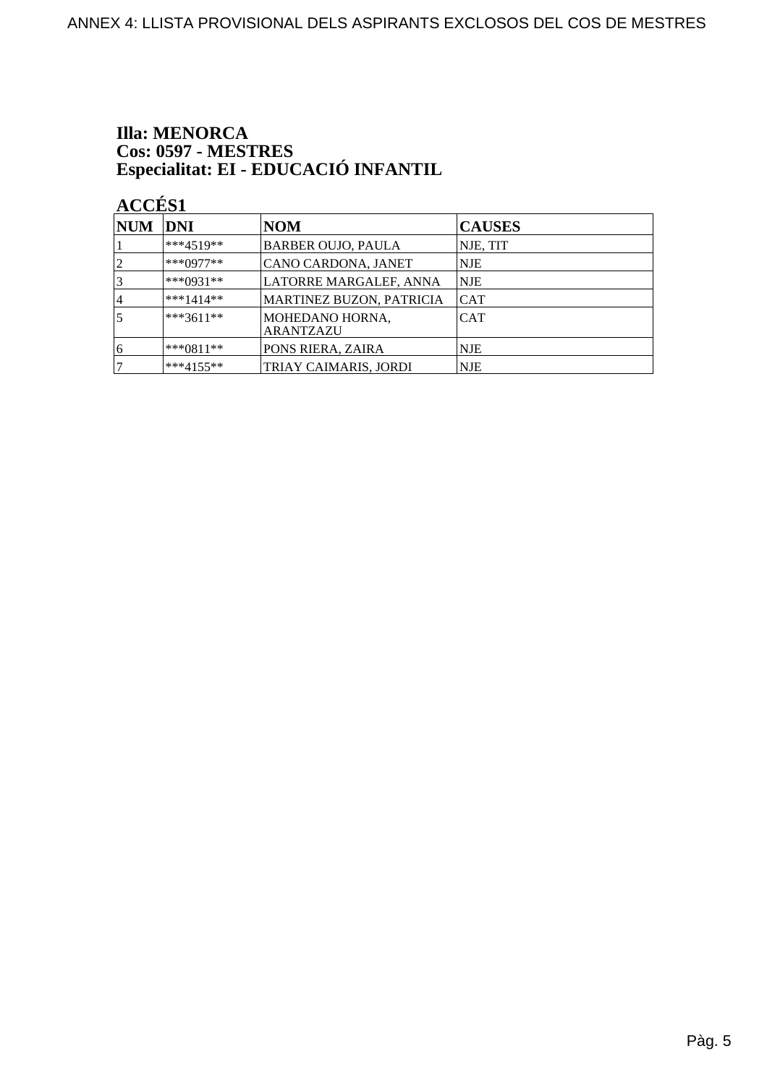# **Illa: MENORCA** Cos: 0597 - MESTRES<br>Especialitat: EI - EDUCACIÓ INFANTIL

| $\bf NUM$       | DNI          | <b>NOM</b>                          | <b>CAUSES</b> |
|-----------------|--------------|-------------------------------------|---------------|
|                 | $***4519**$  | <b>BARBER OUJO, PAULA</b>           | NJE, TIT      |
| 2               | $***0977**$  | CANO CARDONA, JANET                 | NJE           |
| $\vert 3 \vert$ | $***0931**$  | LATORRE MARGALEF, ANNA              | <b>NJE</b>    |
| 14              | $***1414**$  | <b>MARTINEZ BUZON, PATRICIA</b>     | <b>CAT</b>    |
| 5               | $***3611**$  | MOHEDANO HORNA,<br><b>ARANTZAZU</b> | <b>CAT</b>    |
| 16              | $***0811**$  | <b>PONS RIERA, ZAIRA</b>            | NJE           |
| 7               | $***4155***$ | TRIAY CAIMARIS, JORDI               | <b>NJE</b>    |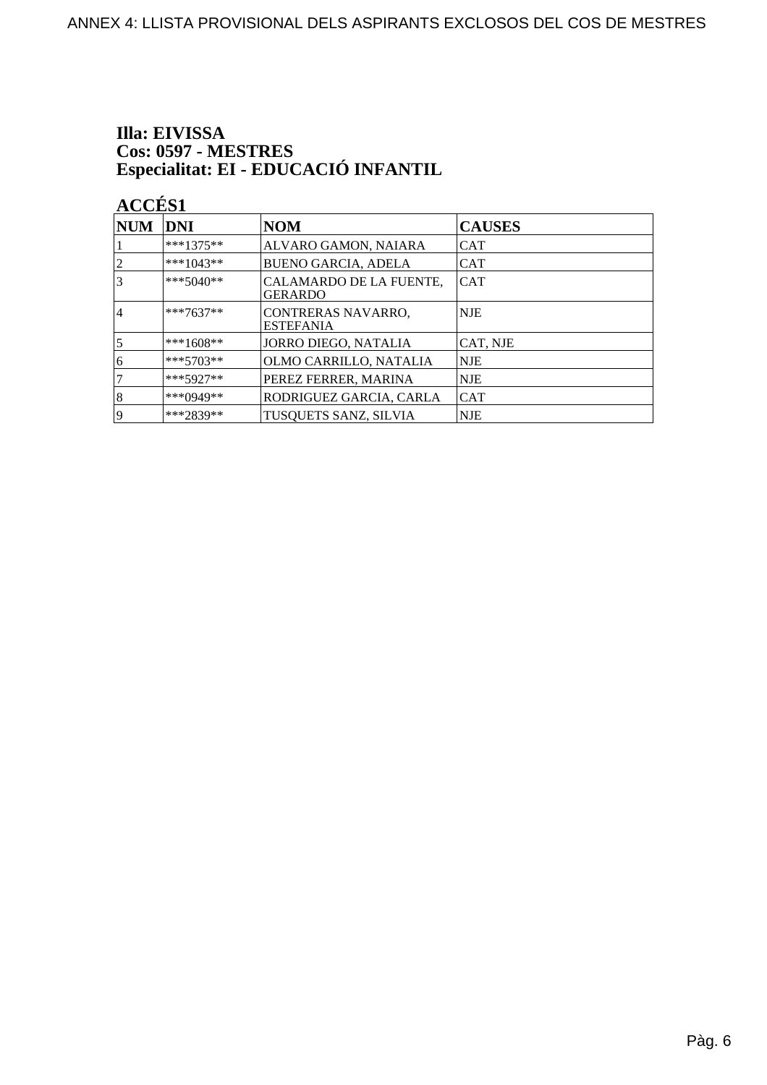# Illa: EIVISSA Cos: 0597 - MESTRES<br>Especialitat: EI - EDUCACIÓ INFANTIL

| <b>NUM</b>     | DNI         | <b>NOM</b>                                | <b>CAUSES</b> |
|----------------|-------------|-------------------------------------------|---------------|
|                | $***1375**$ | ALVARO GAMON, NAIARA                      | <b>CAT</b>    |
| $\overline{2}$ | ***1043**   | <b>BUENO GARCIA, ADELA</b>                | <b>CAT</b>    |
| 3              | $***5040**$ | CALAMARDO DE LA FUENTE,<br><b>GERARDO</b> | <b>CAT</b>    |
| 14             | $***7637**$ | CONTRERAS NAVARRO,<br><b>ESTEFANIA</b>    | NJE           |
| 5              | $***1608**$ | JORRO DIEGO, NATALIA                      | CAT, NJE      |
| 6              | $***5703**$ | OLMO CARRILLO, NATALIA                    | NJE           |
|                | $***5927**$ | PEREZ FERRER, MARINA                      | NJE           |
| 8              | ***0949**   | RODRIGUEZ GARCIA, CARLA                   | <b>CAT</b>    |
| 19             | ***2839**   | TUSQUETS SANZ, SILVIA                     | <b>NJE</b>    |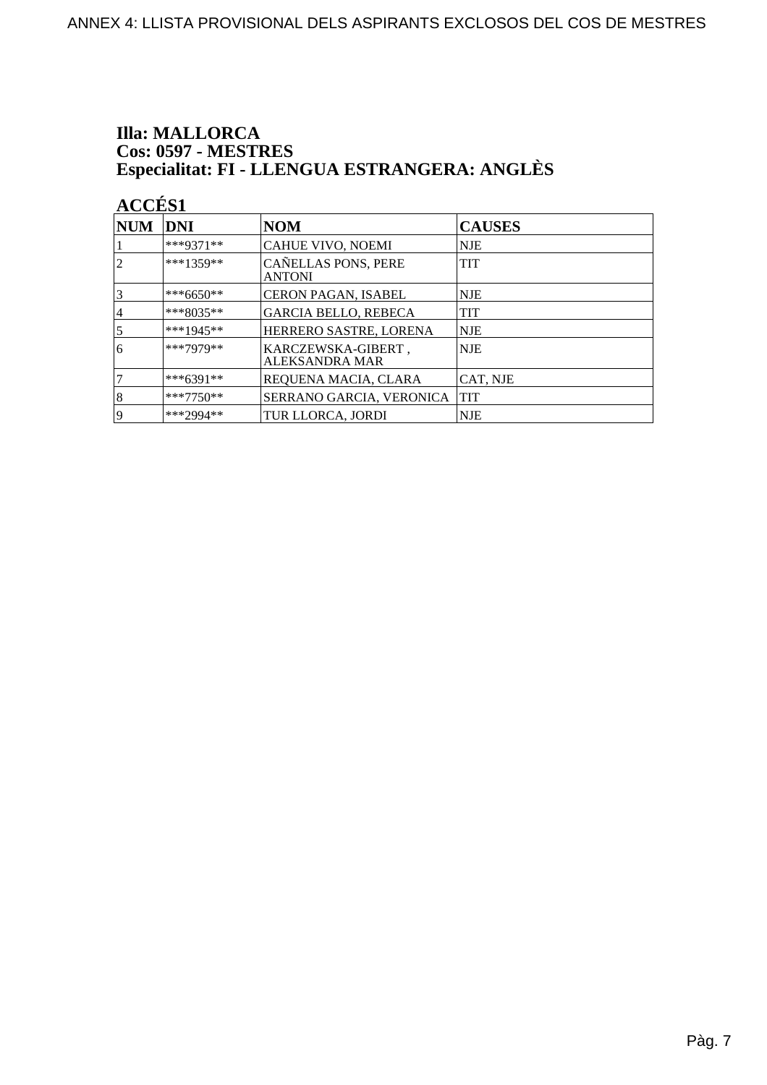### **Illa: MALLORCA Cos: 0597 - MESTRES<br>Especialitat: FI - LLENGUA ESTRANGERA: ANGLÈS**

| <b>NUM</b>     | DNI         | <b>NOM</b>                                  | <b>CAUSES</b> |
|----------------|-------------|---------------------------------------------|---------------|
|                | ***9371**   | CAHUE VIVO, NOEMI                           | <b>NJE</b>    |
| $\overline{2}$ | $***1359**$ | CAÑELLAS PONS, PERE<br><b>ANTONI</b>        | <b>TIT</b>    |
| $\overline{3}$ | ***6650**   | CERON PAGAN, ISABEL                         | <b>NJE</b>    |
| 14             | ***8035**   | <b>GARCIA BELLO, REBECA</b>                 | <b>TIT</b>    |
| 5              | $***1945**$ | HERRERO SASTRE, LORENA                      | <b>NJE</b>    |
| 6              | ***7979**   | KARCZEWSKA-GIBERT,<br><b>ALEKSANDRA MAR</b> | <b>NJE</b>    |
|                | $***6391**$ | REQUENA MACIA, CLARA                        | CAT, NJE      |
| 8              | $***7750**$ | SERRANO GARCIA, VERONICA                    | <b>TIT</b>    |
| 19             | ***2994**   | TUR LLORCA, JORDI                           | <b>NJE</b>    |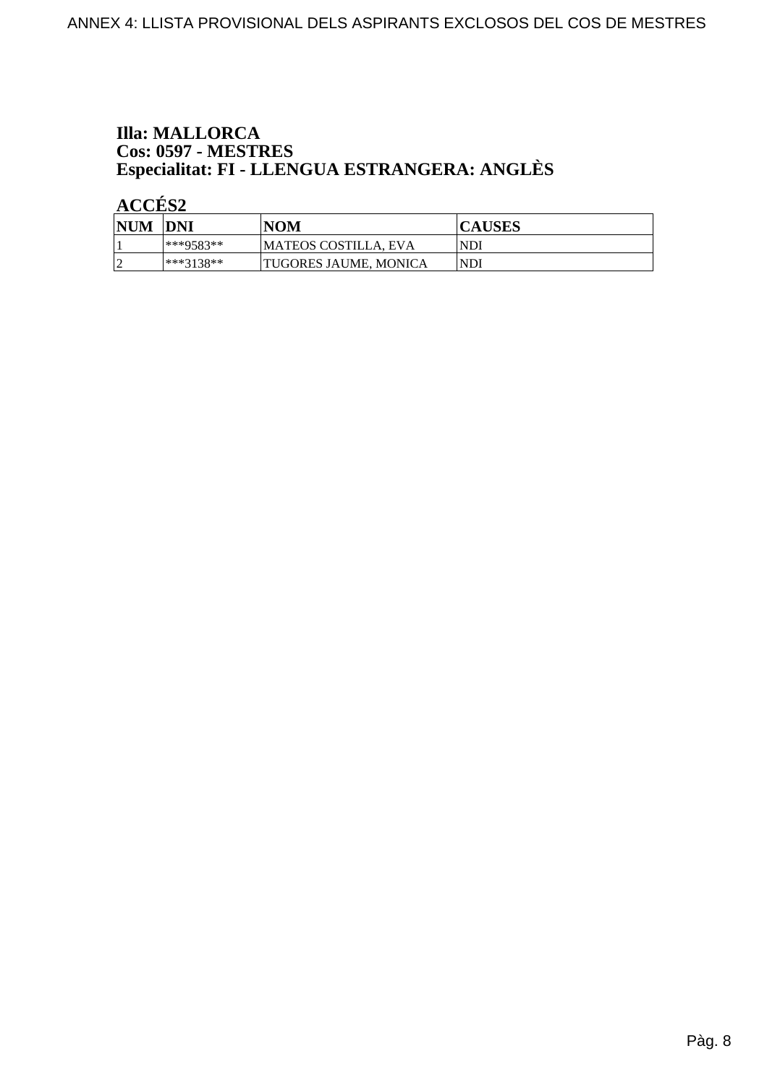## **Illa: MALLORCA Cos: 0597 - MESTRES<br>Especialitat: FI - LLENGUA ESTRANGERA: ANGLÈS**

| <b>NUM</b> | <b>IDNI</b> | NOM                   | <b>CAUSES</b> |
|------------|-------------|-----------------------|---------------|
|            | $**9583**$  | MATEOS COSTILLA, EVA  | <b>NDI</b>    |
|            | ***3138**   | TUGORES JAUME. MONICA | <b>NDI</b>    |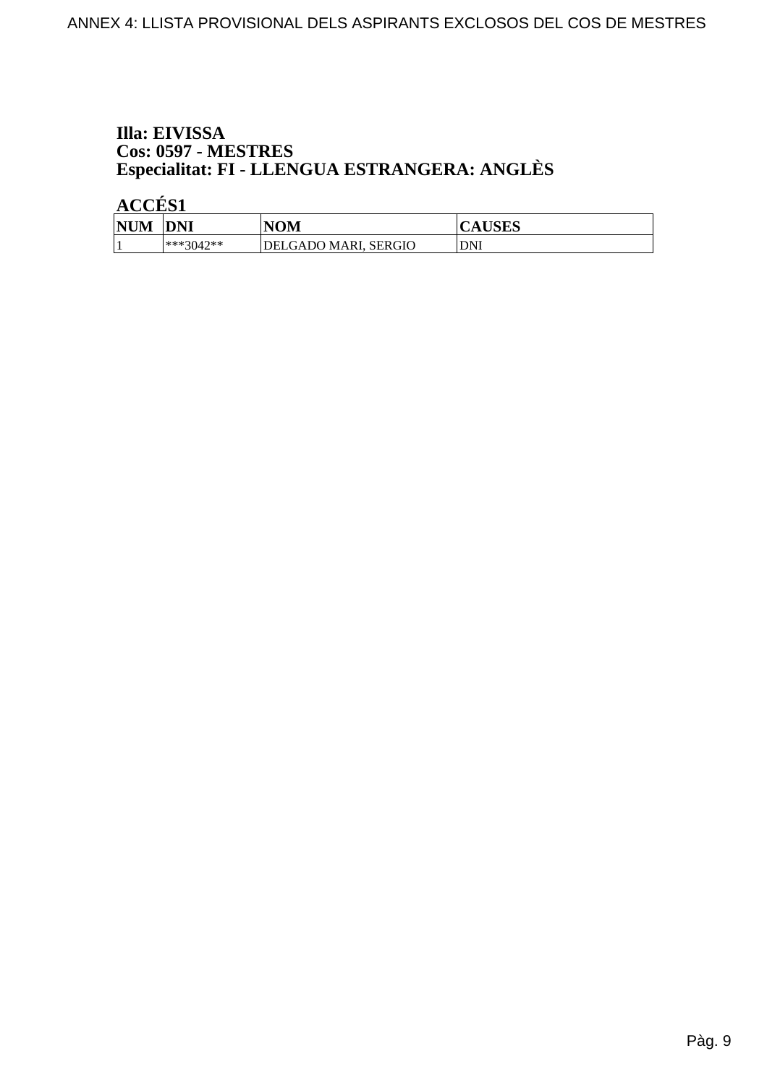#### Illa: EIVISSA **Cos: 0597 - MESTRES** Especialitat: FI - LLENGUA ESTRANGERA: ANGLÈS

| <b>NIM</b><br>M | <b>DNI</b>  | NOM                         | LIGEC<br><b>AUSLS</b> |
|-----------------|-------------|-----------------------------|-----------------------|
|                 | $***3042**$ | <b>DELGADO MARI, SERGIO</b> | DNI                   |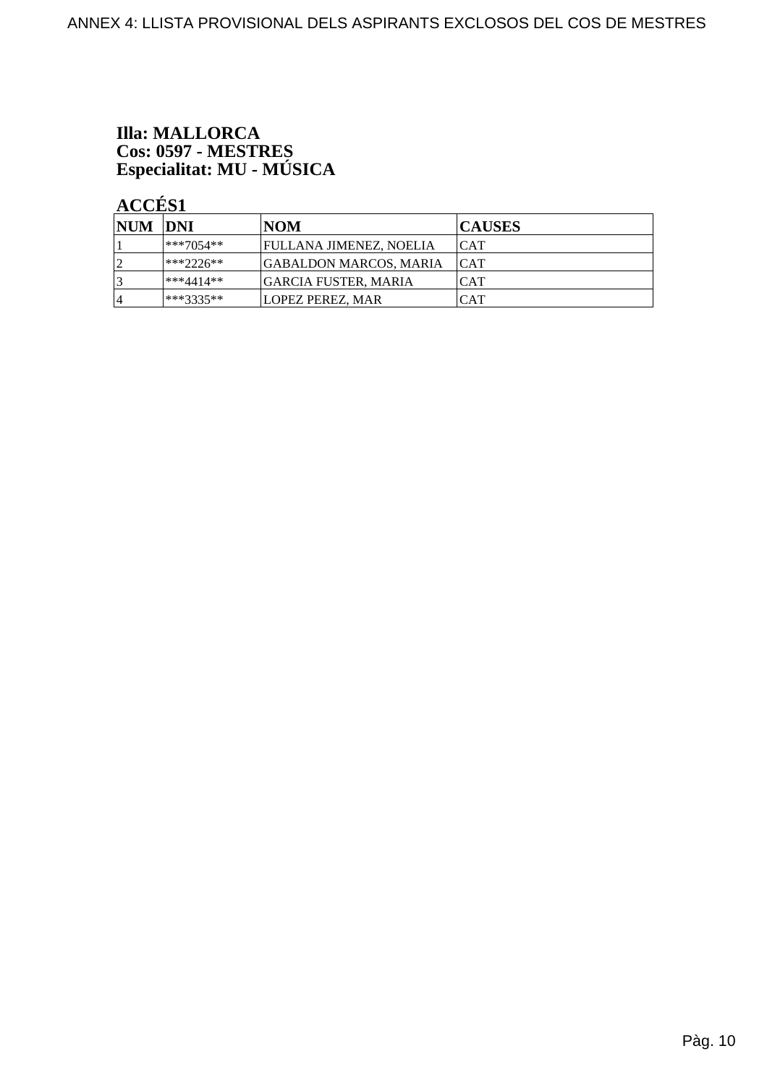# **Illa: MALLORCA** Cos: 0597 - MESTRES<br>Especialitat: MU - MÚSICA

| NUM DNI        |               | <b>NOM</b>                     | <b>CAUSES</b> |
|----------------|---------------|--------------------------------|---------------|
|                | $***7054**$   | <b>FULLANA JIMENEZ, NOELIA</b> | ICAT          |
| $\overline{2}$ | $ ***2226***$ | <b>GABALDON MARCOS, MARIA</b>  | <b>CAT</b>    |
| 3              | ***4414**     | <b>GARCIA FUSTER, MARIA</b>    | <b>CAT</b>    |
| 14             | ***3335**     | <b>LOPEZ PEREZ, MAR</b>        | CAT           |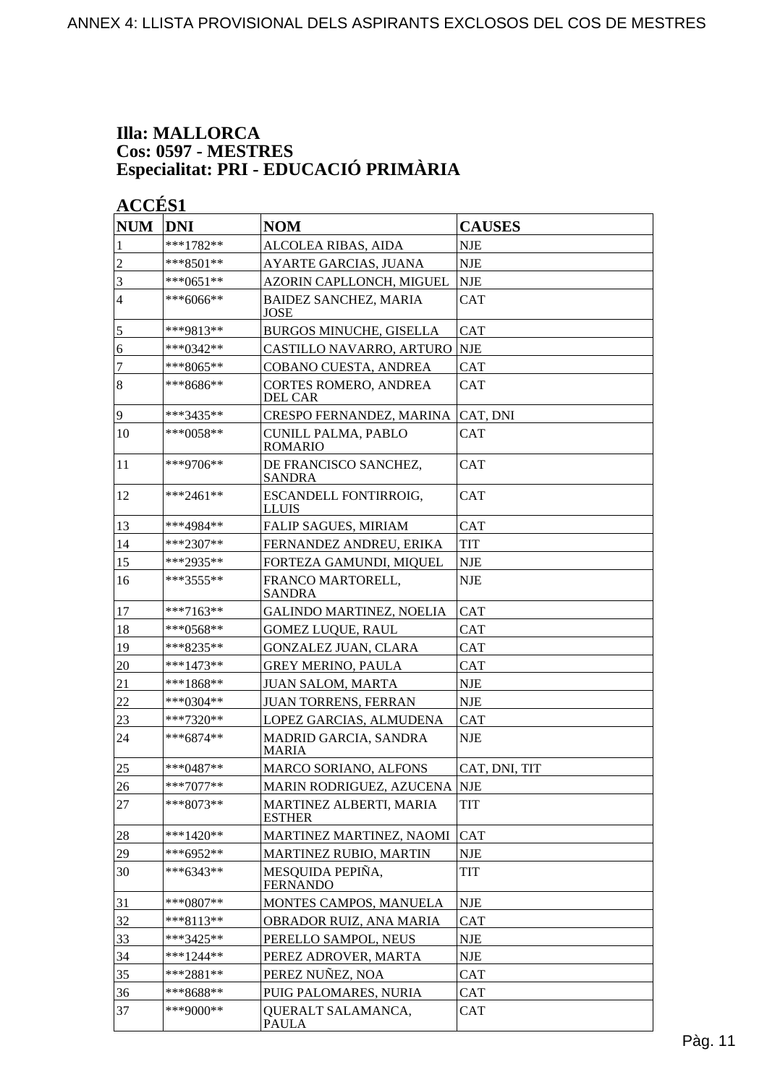#### **Illa: MALLORCA Cos: 0597 - MESTRES Especialitat: PRI - EDUCACIÓ PRIMÀRIA**

| <b>NUM</b>     | <b>DNI</b>  | <b>NOM</b>                                   | <b>CAUSES</b> |
|----------------|-------------|----------------------------------------------|---------------|
| 1              | ***1782**   | ALCOLEA RIBAS, AIDA                          | <b>NJE</b>    |
| $\overline{c}$ | $***8501**$ | AYARTE GARCIAS, JUANA                        | <b>NJE</b>    |
| 3              | ***0651**   | AZORIN CAPLLONCH, MIGUEL                     | <b>NJE</b>    |
| $\overline{4}$ | ***6066**   | <b>BAIDEZ SANCHEZ, MARIA</b><br><b>JOSE</b>  | <b>CAT</b>    |
| 5              | ***9813**   | BURGOS MINUCHE, GISELLA                      | <b>CAT</b>    |
| 6              | ***0342**   | CASTILLO NAVARRO, ARTURO                     | <b>NJE</b>    |
| 7              | $***8065**$ | COBANO CUESTA, ANDREA                        | <b>CAT</b>    |
| $\overline{8}$ | ***8686**   | <b>CORTES ROMERO, ANDREA</b><br>DEL CAR      | <b>CAT</b>    |
| 9              | ***3435**   | CRESPO FERNANDEZ, MARINA                     | CAT, DNI      |
| 10             | $***0058**$ | <b>CUNILL PALMA, PABLO</b><br><b>ROMARIO</b> | <b>CAT</b>    |
| 11             | $***9706**$ | DE FRANCISCO SANCHEZ,<br><b>SANDRA</b>       | <b>CAT</b>    |
| 12             | ***2461**   | ESCANDELL FONTIRROIG,<br>LLUIS               | <b>CAT</b>    |
| 13             | ***4984**   | <b>FALIP SAGUES, MIRIAM</b>                  | <b>CAT</b>    |
| 14             | ***2307**   | FERNANDEZ ANDREU, ERIKA                      | <b>TIT</b>    |
| 15             | ***2935**   | FORTEZA GAMUNDI, MIQUEL                      | <b>NJE</b>    |
| 16             | ***3555**   | FRANCO MARTORELL,<br><b>SANDRA</b>           | <b>NJE</b>    |
| 17             | ***7163**   | <b>GALINDO MARTINEZ, NOELIA</b>              | <b>CAT</b>    |
| 18             | ***0568**   | <b>GOMEZ LUQUE, RAUL</b>                     | <b>CAT</b>    |
| 19             | ***8235**   | <b>GONZALEZ JUAN, CLARA</b>                  | <b>CAT</b>    |
| 20             | ***1473**   | <b>GREY MERINO, PAULA</b>                    | <b>CAT</b>    |
| 21             | ***1868**   | <b>JUAN SALOM, MARTA</b>                     | <b>NJE</b>    |
| $22\,$         | ***0304**   | <b>JUAN TORRENS, FERRAN</b>                  | <b>NJE</b>    |
| 23             | $***7320**$ | LOPEZ GARCIAS, ALMUDENA                      | <b>CAT</b>    |
| 24             | $***6874**$ | MADRID GARCIA, SANDRA<br><b>MARIA</b>        | <b>NJE</b>    |
| 25             | $***0487**$ | MARCO SORIANO, ALFONS                        | CAT, DNI, TIT |
| 26             | $***7077**$ | MARIN RODRIGUEZ, AZUCENA                     | <b>NJE</b>    |
| 27             | $***8073**$ | MARTINEZ ALBERTI, MARIA<br><b>ESTHER</b>     | <b>TIT</b>    |
| 28             | ***1420**   | MARTINEZ MARTINEZ, NAOMI                     | <b>CAT</b>    |
| 29             | ***6952**   | MARTINEZ RUBIO, MARTIN                       | <b>NJE</b>    |
| 30             | $***6343**$ | MESQUIDA PEPIÑA,<br><b>FERNANDO</b>          | TIT           |
| 31             | ***0807**   | MONTES CAMPOS, MANUELA                       | NJE           |
| 32             | $***8113**$ | OBRADOR RUIZ, ANA MARIA                      | <b>CAT</b>    |
| 33             | ***3425**   | PERELLO SAMPOL, NEUS                         | <b>NJE</b>    |
| 34             | ***1244**   | PEREZ ADROVER, MARTA                         | NJE           |
| 35             | ***2881**   | PEREZ NUÑEZ, NOA                             | <b>CAT</b>    |
| 36             | ***8688**   | PUIG PALOMARES, NURIA                        | <b>CAT</b>    |
| 37             | ***9000**   | QUERALT SALAMANCA,<br><b>PAULA</b>           | <b>CAT</b>    |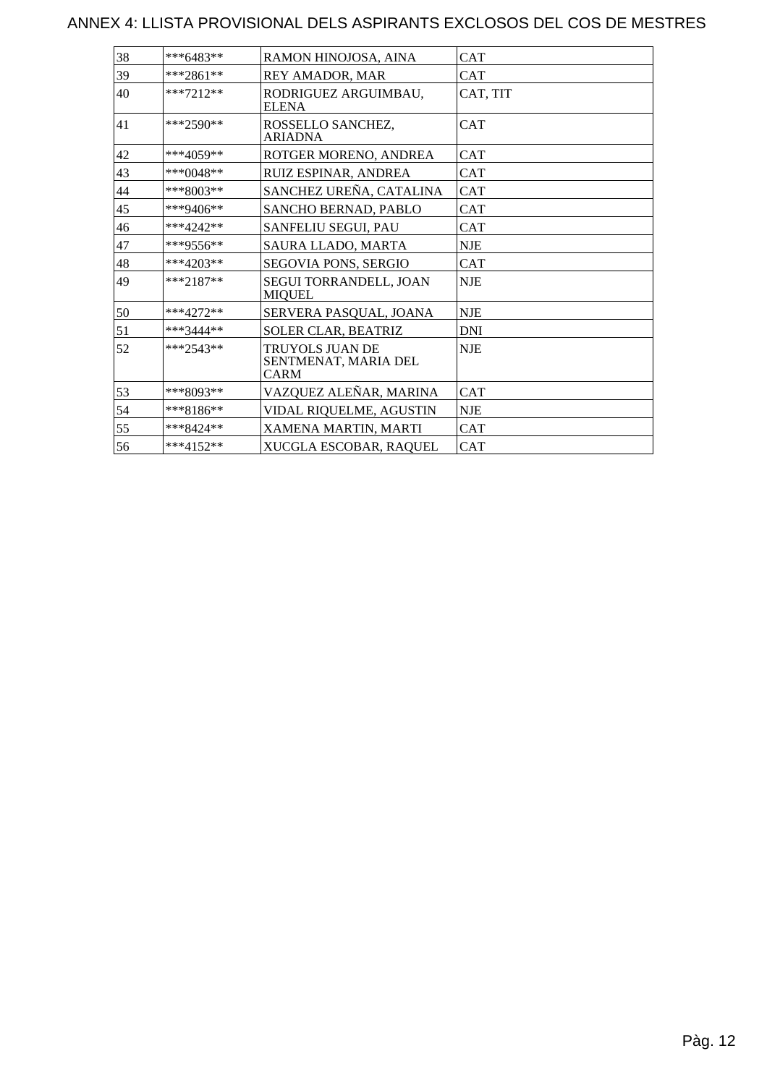#### ANNEX 4: LLISTA PROVISIONAL DELS ASPIRANTS EXCLOSOS DEL COS DE MESTRES

| 38 | ***6483**   | RAMON HINOJOSA, AINA                                   | <b>CAT</b> |
|----|-------------|--------------------------------------------------------|------------|
| 39 | ***2861**   | REY AMADOR, MAR                                        | <b>CAT</b> |
| 40 | $***7212**$ | RODRIGUEZ ARGUIMBAU,<br><b>ELENA</b>                   | CAT, TIT   |
| 41 | $***2590**$ | ROSSELLO SANCHEZ,<br><b>ARIADNA</b>                    | <b>CAT</b> |
| 42 | ***4059**   | ROTGER MORENO, ANDREA                                  | <b>CAT</b> |
| 43 | ***0048**   | RUIZ ESPINAR, ANDREA                                   | <b>CAT</b> |
| 44 | $***8003**$ | SANCHEZ UREÑA, CATALINA                                | <b>CAT</b> |
| 45 | ***9406**   | SANCHO BERNAD, PABLO                                   | <b>CAT</b> |
| 46 | $***4242**$ | SANFELIU SEGUI, PAU                                    | <b>CAT</b> |
| 47 | ***9556**   | SAURA LLADO, MARTA                                     | <b>NJE</b> |
| 48 | $***4203**$ | SEGOVIA PONS, SERGIO                                   | <b>CAT</b> |
| 49 | $***2187**$ | SEGUI TORRANDELL, JOAN<br><b>MIQUEL</b>                | <b>NJE</b> |
| 50 | $***4272**$ | SERVERA PASQUAL, JOANA                                 | <b>NJE</b> |
| 51 | $***3444**$ | SOLER CLAR, BEATRIZ                                    | <b>DNI</b> |
| 52 | $***2543**$ | TRUYOLS JUAN DE<br>SENTMENAT, MARIA DEL<br><b>CARM</b> | NJE        |
| 53 | ***8093**   | VAZQUEZ ALEÑAR, MARINA                                 | <b>CAT</b> |
| 54 | ***8186**   | VIDAL RIQUELME, AGUSTIN                                | <b>NJE</b> |
| 55 | $***8424**$ | XAMENA MARTIN, MARTI                                   | <b>CAT</b> |
| 56 | $***4152**$ | XUCGLA ESCOBAR, RAQUEL                                 | ICAT       |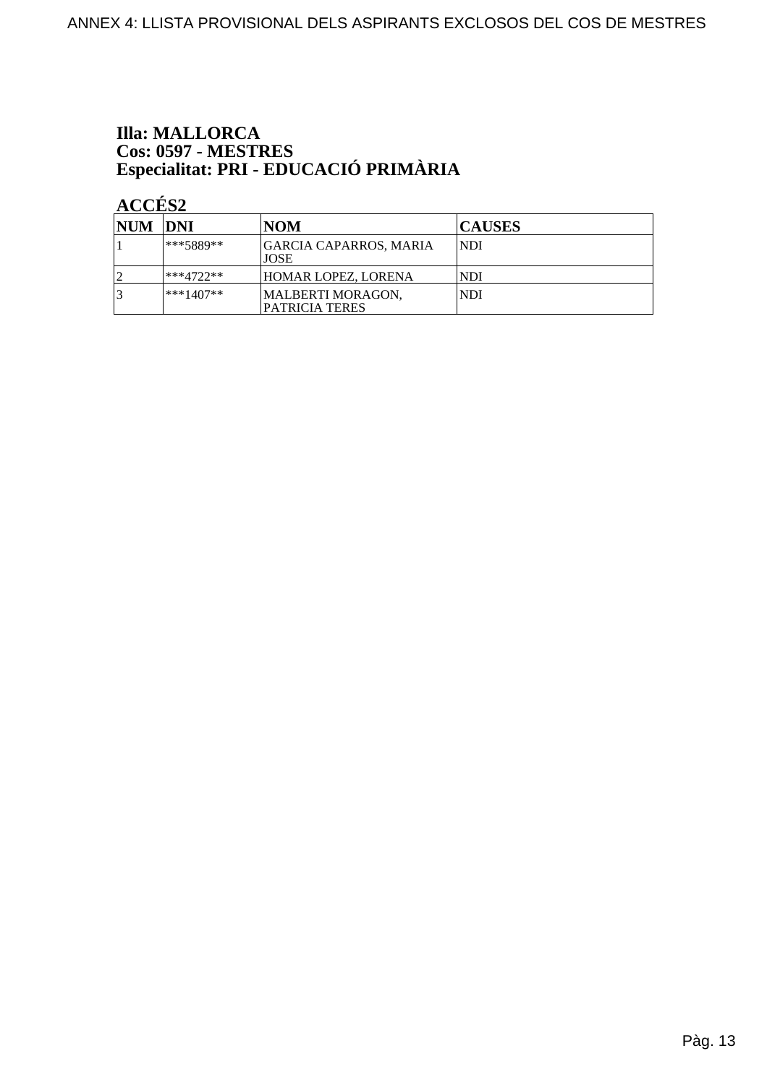# **Illa: MALLORCA** Cos: 0597 - MESTRES<br>Especialitat: PRI - EDUCACIÓ PRIMÀRIA

| <b>NUM DNI</b> |             | <b>NOM</b>                            | <b>CAUSES</b> |
|----------------|-------------|---------------------------------------|---------------|
|                | ***5889**   | GARCIA CAPARROS, MARIA<br><b>JOSE</b> | NDI           |
|                | ***4722**   | HOMAR LOPEZ, LORENA                   | INDI          |
|                | $***1407**$ | MALBERTI MORAGON,<br>PATRICIA TERES   | NDI           |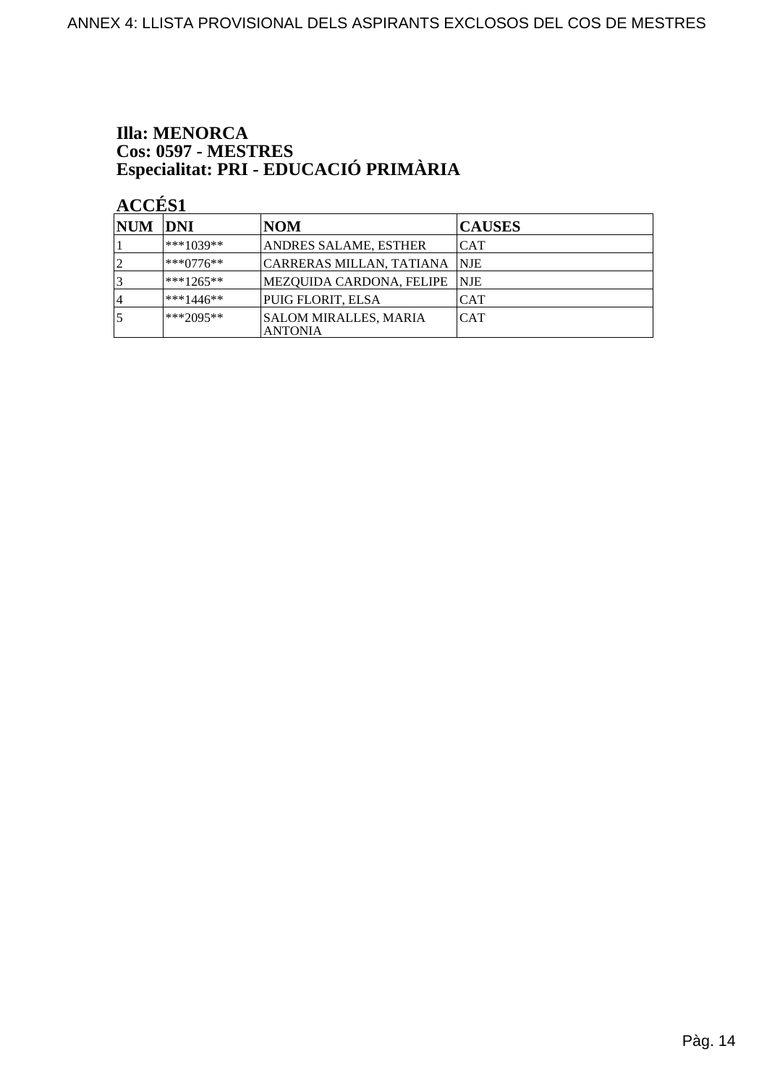# **Illa: MENORCA** Cos: 0597 - MESTRES<br>Especialitat: PRI - EDUCACIÓ PRIMÀRIA

| NUM DNI |             | <b>NOM</b>                                     | <b>CAUSES</b> |
|---------|-------------|------------------------------------------------|---------------|
|         | ***1039**   | ANDRES SALAME, ESTHER                          | ICAT          |
|         | l***0776**  | CARRERAS MILLAN, TATIANA  NJE                  |               |
|         | $***1265**$ | MEZQUIDA CARDONA, FELIPE   NJE                 |               |
| 14      | $***1446**$ | PUIG FLORIT, ELSA                              | <b>CAT</b>    |
|         | $***2095**$ | <b>SALOM MIRALLES, MARIA</b><br><b>ANTONIA</b> | <b>CAT</b>    |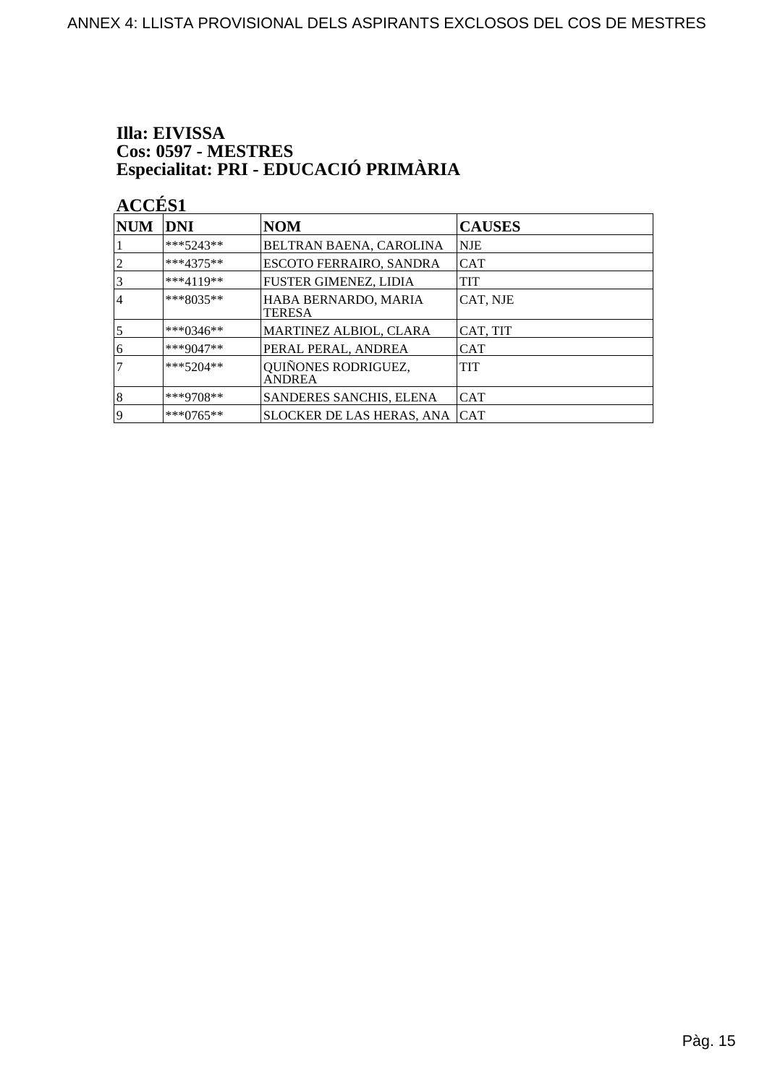# Illa: EIVISSA Cos: 0597 - MESTRES<br>Especialitat: PRI - EDUCACIÓ PRIMÀRIA

| <b>NUM</b>     | DNI         | <b>NOM</b>                            | <b>CAUSES</b> |
|----------------|-------------|---------------------------------------|---------------|
|                | $***5243**$ | BELTRAN BAENA, CAROLINA               | NJE           |
| $\overline{2}$ | $***4375**$ | ESCOTO FERRAIRO, SANDRA               | <b>CAT</b>    |
| 3              | $***4119**$ | FUSTER GIMENEZ, LIDIA                 | <b>TIT</b>    |
| 4              | $***8035**$ | HABA BERNARDO, MARIA<br><b>TERESA</b> | CAT, NJE      |
| $\overline{5}$ | ***0346**   | MARTINEZ ALBIOL, CLARA                | CAT, TIT      |
| 6              | ***9047**   | PERAL PERAL, ANDREA                   | <b>CAT</b>    |
| 7              | $***5204**$ | QUIÑONES RODRIGUEZ,<br><b>ANDREA</b>  | <b>TIT</b>    |
| $\vert 8$      | $***9708**$ | SANDERES SANCHIS, ELENA               | <b>CAT</b>    |
| 19             | ***0765**   | <b>SLOCKER DE LAS HERAS, ANA</b>      | <b>CAT</b>    |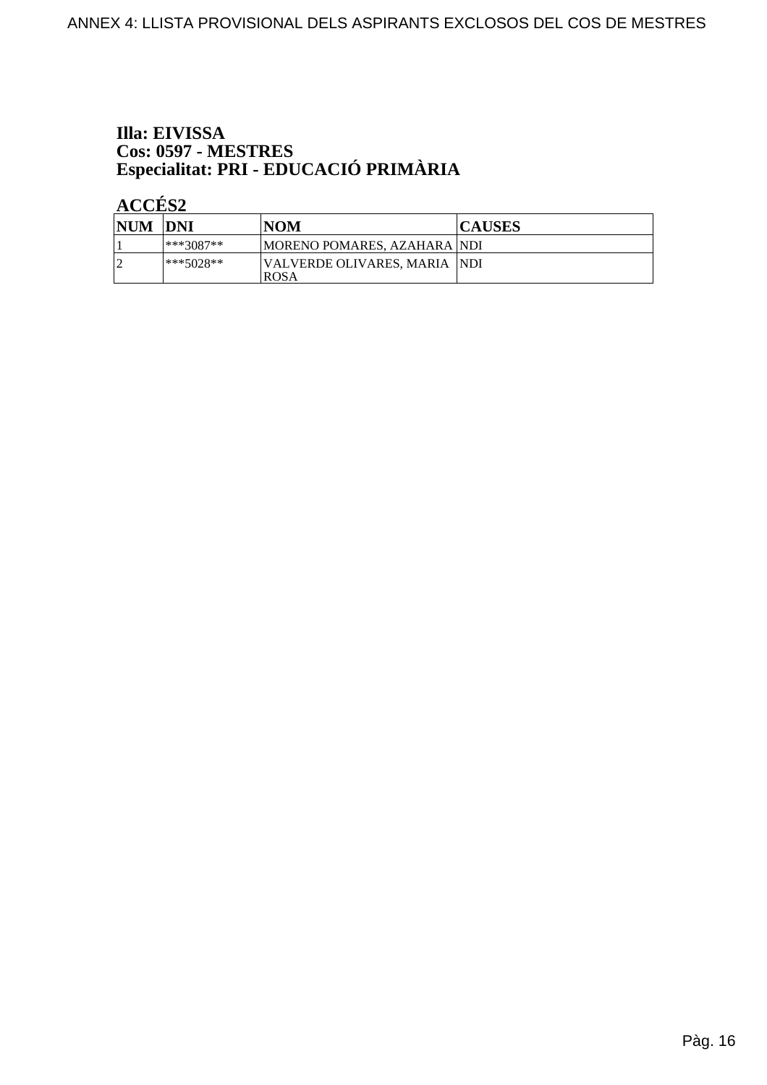# Illa: EIVISSA Cos: 0597 - MESTRES<br>Especialitat: PRI - EDUCACIÓ PRIMÀRIA

| <b>NUM DNI</b> |           | NOM                                          | <b>CAUSES</b> |
|----------------|-----------|----------------------------------------------|---------------|
|                | ***3087** | MORENO POMARES, AZAHARA NDI                  |               |
|                | ***5028** | VALVERDE OLIVARES. MARIA  NDI<br><b>ROSA</b> |               |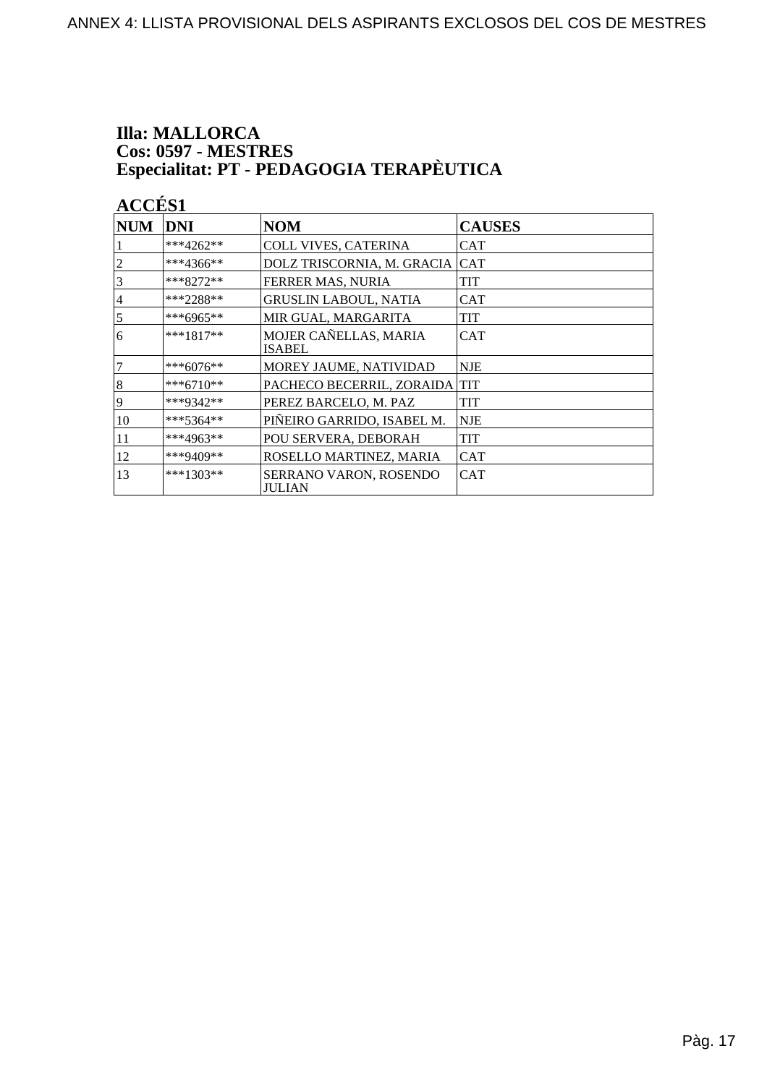# **Illa: MALLORCA** Cos: 0597 - MESTRES<br>Especialitat: PT - PEDAGOGIA TERAPÈUTICA

| <b>NUM</b>     | <b>DNI</b>   | <b>NOM</b>                             | <b>CAUSES</b> |
|----------------|--------------|----------------------------------------|---------------|
|                | $***4262**$  | <b>COLL VIVES, CATERINA</b>            | CAT           |
| $\overline{c}$ | $***4366***$ | DOLZ TRISCORNIA, M. GRACIA             | <b>CAT</b>    |
| 3              | $***8272**$  | FERRER MAS, NURIA                      | TIT           |
| 4              | $***2288**$  | <b>GRUSLIN LABOUL, NATIA</b>           | CAT           |
| 5              | ***6965**    | MIR GUAL, MARGARITA                    | TIT           |
| 6              | $***1817**$  | MOJER CAÑELLAS, MARIA<br><b>ISABEL</b> | CAT           |
| $\overline{7}$ | ***6076**    | MOREY JAUME, NATIVIDAD                 | <b>NJE</b>    |
| 8              | ***6710**    | PACHECO BECERRIL, ZORAIDA TIT          |               |
| 9              | ***9342**    | PEREZ BARCELO, M. PAZ                  | TIT           |
| 10             | $***5364**$  | PIÑEIRO GARRIDO, ISABEL M.             | <b>NJE</b>    |
| 11             | ***4963**    | POU SERVERA, DEBORAH                   | TIT           |
| 12             | ***9409**    | ROSELLO MARTINEZ, MARIA                | CAT           |
| 13             | $***1303**$  | SERRANO VARON, ROSENDO<br>JULIAN       | <b>CAT</b>    |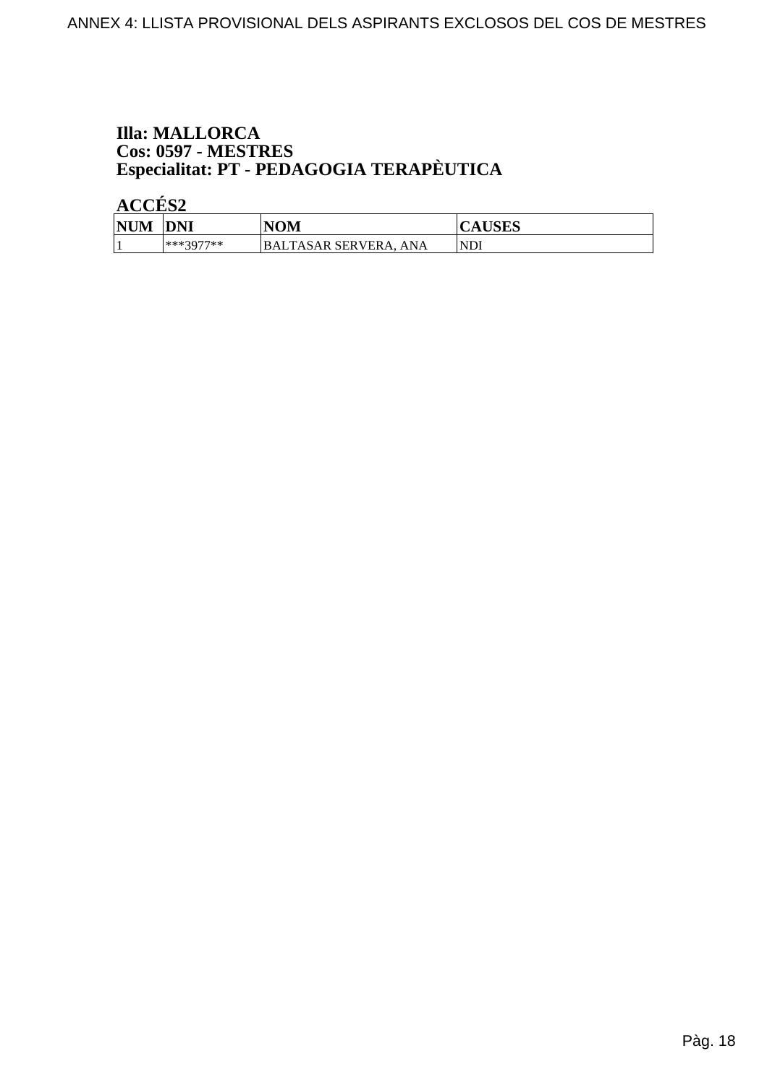# **Illa: MALLORCA Cos: 0597 - MESTRES<br>Especialitat: PT - PEDAGOGIA TERAPÈUTICA**

| <b>NUM</b> | <b>DNI</b> | <b>NOM</b>                      | AUDLD       |
|------------|------------|---------------------------------|-------------|
|            | ***3077**  | BALTASAR SERVERA.<br><b>ANA</b> | <b>INDI</b> |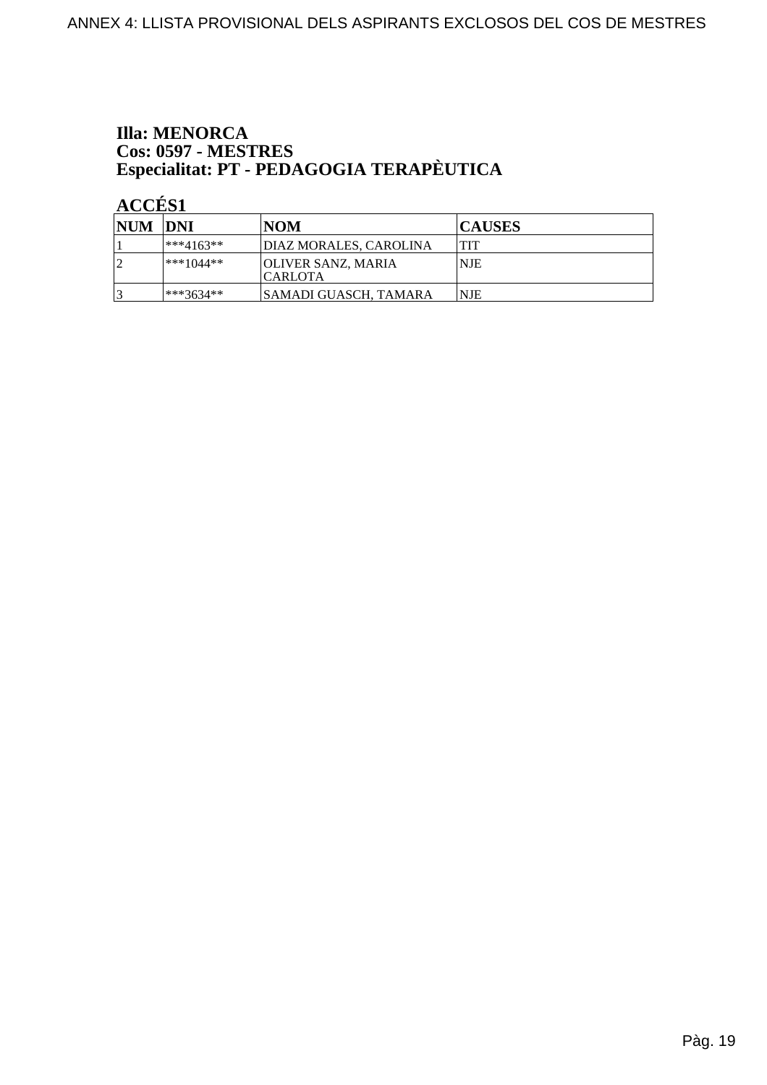### **Illa: MENORCA Cos: 0597 - MESTRES<br>Especialitat: PT - PEDAGOGIA TERAPÈUTICA**

| NUM DNI |             | <b>NOM</b>                                    | <b>CAUSES</b> |
|---------|-------------|-----------------------------------------------|---------------|
|         | $***4163**$ | DIAZ MORALES. CAROLINA                        | <b>TIT</b>    |
| ി       | $***1044**$ | <b>JOLIVER SANZ, MARIA</b><br><b>ICARLOTA</b> | NJE           |
|         | $***3634**$ | SAMADI GUASCH, TAMARA                         | 'NJE          |